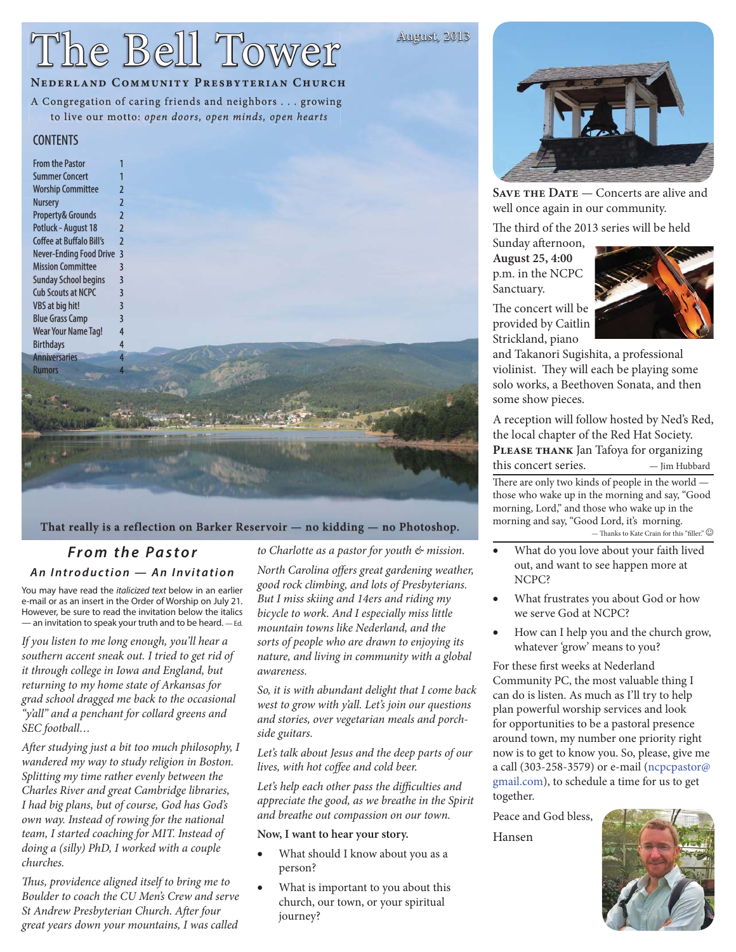# The Bell Tower

## **NEDERLAND COMMUNITY PRESBYTERIAN CHURCH**

## A Congregation of caring friends and neighbors . . . growing

to live our motto: open doors, open minds, open hearts

### **CONTENTS**



#### That really is a reflection on Barker Reservoir - no kidding - no Photoshop.

### *From the Pastor An Introduction — An Invitation*

You may have read the *italicized text* below in an earlier e-mail or as an insert in the Order of Worship on July 21. However, be sure to read the invitation below the italics — an invitation to speak your truth and to be heard. — Ed.

If you listen to me long enough, you'll hear a southern accent sneak out. I tried to get rid of it through college in Iowa and England, but returning to my home state of Arkansas for grad school dragged me back to the occasional "y'all" and a penchant for collard greens and SEC football…

After studying just a bit too much philosophy, I wandered my way to study religion in Boston. Splitting my time rather evenly between the Charles River and great Cambridge libraries, I had big plans, but of course, God has God's own way. Instead of rowing for the national team, I started coaching for MIT. Instead of doing a (silly) PhD, I worked with a couple churches.

Thus, providence aligned itself to bring me to Boulder to coach the CU Men's Crew and serve St Andrew Presbyterian Church. After four great years down your mountains, I was called

to Charlotte as a pastor for youth & mission.

North Carolina offers great gardening weather, good rock climbing, and lots of Presbyterians. But I miss skiing and 14ers and riding my bicycle to work. And I especially miss little mountain towns like Nederland, and the sorts of people who are drawn to enjoying its nature, and living in community with a global awareness.

So, it is with abundant delight that I come back west to grow with y'all. Let's join our questions and stories, over vegetarian meals and porchside guitars.

Let's talk about Jesus and the deep parts of our lives, with hot coffee and cold beer.

Let's help each other pass the difficulties and appreciate the good, as we breathe in the Spirit and breathe out compassion on our town.

#### **Now, I want to hear your story.**

- What should I know about you as a person?
- What is important to you about this church, our town, or your spiritual journey?



**SAVE THE DATE** — Concerts are alive and well once again in our community.

The third of the 2013 series will be held

Sunday afternoon, **August 25, 4:00** p.m. in the NCPC Sanctuary.

August, 2013

Strickland, piano



and Takanori Sugishita, a professional violinist. They will each be playing some solo works, a Beethoven Sonata, and then some show pieces.

A reception will follow hosted by Ned's Red, the local chapter of the Red Hat Society. **Please thank** Jan Tafoya for organizing this concert series.  $-$  Jim Hubbard

There are only two kinds of people in the world those who wake up in the morning and say, "Good morning, Lord," and those who wake up in the morning and say, "Good Lord, it's morning. — Thanks to Kate Crain for this "filler."  $\copyright$ 

- What do you love about your faith lived out, and want to see happen more at NCPC?
- What frustrates you about God or how we serve God at NCPC?
- How can I help you and the church grow, whatever 'grow' means to you?

For these first weeks at Nederland Community PC, the most valuable thing I can do is listen. As much as I'll try to help plan powerful worship services and look for opportunities to be a pastoral presence around town, my number one priority right now is to get to know you. So, please, give me a call (303-258-3579) or e-mail (ncpcpastor@ gmail.com), to schedule a time for us to get together.

Peace and God bless, Hansen

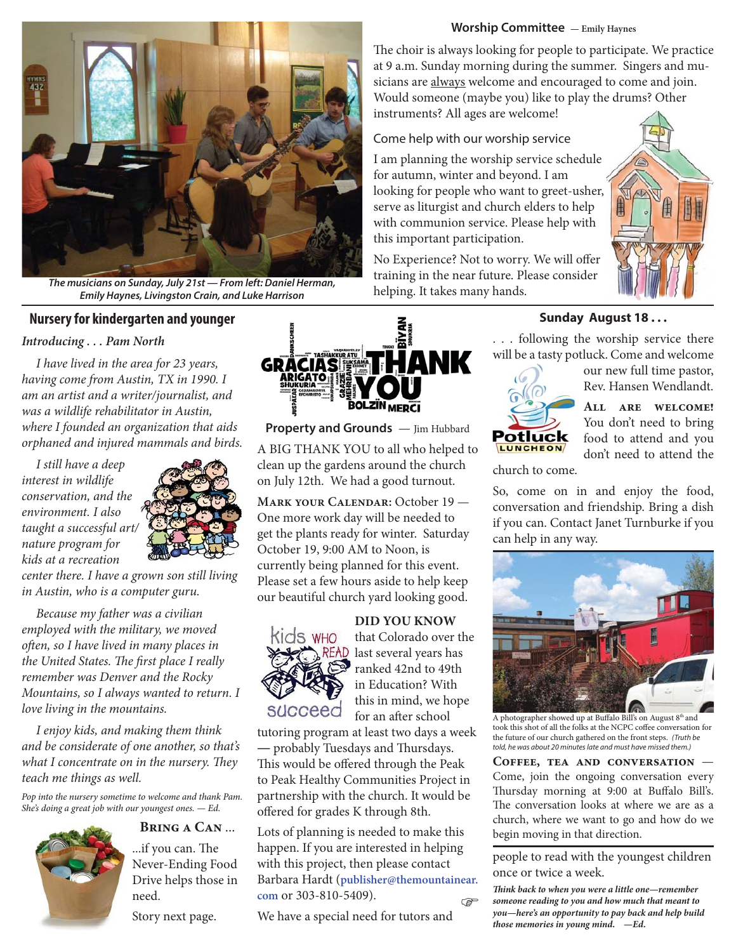#### **Worship Committee — Emily Haynes**



*The musicians on Sunday, July 21st — From left: Daniel Herman, Emily Haynes, Livingston Crain, and Luke Harrison*

#### **Nursery for kindergarten and younger**

#### *Introducing . . . Pam North*

I have lived in the area for 23 years, having come from Austin, TX in 1990. I am an artist and a writer/journalist, and was a wildlife rehabilitator in Austin, where I founded an organization that aids orphaned and injured mammals and birds.

I still have a deep interest in wildlife conservation, and the environment. I also taught a successful art/ nature program for kids at a recreation



center there. I have a grown son still living in Austin, who is a computer guru.

Because my father was a civilian employed with the military, we moved often, so I have lived in many places in the United States. The first place I really remember was Denver and the Rocky Mountains, so I always wanted to return. I love living in the mountains.

I enjoy kids, and making them think and be considerate of one another, so that's what I concentrate on in the nursery. They teach me things as well.

*Pop into the nursery sometime to welcome and thank Pam. She's doing a great job with our youngest ones. — Ed.*



**Bring a Can** ... ...if you can. The

Never-Ending Food Drive helps those in need.

Story next page.



**Property and Grounds** — Jim Hubbard A BIG THANK YOU to all who helped to clean up the gardens around the church on July 12th. We had a good turnout.

**Mark your Calendar:** October 19 — One more work day will be needed to get the plants ready for winter. Saturday October 19, 9:00 AM to Noon, is currently being planned for this event. Please set a few hours aside to help keep our beautiful church yard looking good.

#### **DID YOU KNOW**



that Colorado over the READ last several years has ranked 42nd to 49th in Education? With this in mind, we hope for an after school

tutoring program at least two days a week - probably Tuesdays and Thursdays. This would be offered through the Peak to Peak Healthy Communities Project in partnership with the church. It would be offered for grades K through 8th.

Lots of planning is needed to make this happen. If you are interested in helping with this project, then please contact Barbara Hardt (**publisher@themountainear. com** or 303-810-5409).  $\mathbb{G}$ 

We have a special need for tutors and

The choir is always looking for people to participate. We practice at 9 a.m. Sunday morning during the summer. Singers and musicians are always welcome and encouraged to come and join. Would someone (maybe you) like to play the drums? Other instruments? All ages are welcome!

Come help with our worship service

I am planning the worship service schedule for autumn, winter and beyond. I am looking for people who want to greet-usher, serve as liturgist and church elders to help with communion service. Please help with this important participation.

No Experience? Not to worry. We will offer training in the near future. Please consider helping. It takes many hands.



#### **Sunday August 18 . . .**

. . . following the worship service there will be a tasty potluck. Come and welcome

> our new full time pastor, Rev. Hansen Wendlandt.

**All are welcome!** You don't need to bring food to attend and you don't need to attend the

church to come.

Potluck **LUNCHEON** 

So, come on in and enjoy the food, conversation and friendship. Bring a dish if you can. Contact Janet Turnburke if you can help in any way.



A photographer showed up at Buffalo Bill's on August 8<sup>th</sup> and took this shot of all the folks at the NCPC coffee conversation for the future of our church gathered on the front steps. *(Truth be told, he was about 20 minutes late and must have missed them.)*

**Coffee, tea and conversation** — Come, join the ongoing conversation every Thursday morning at 9:00 at Buffalo Bill's. The conversation looks at where we are as a church, where we want to go and how do we begin moving in that direction.

people to read with the youngest children once or twice a week.

*Th ink back to when you were a little one—remember someone reading to you and how much that meant to you—here's an opportunity to pay back and help build those memories in young mind. —Ed.*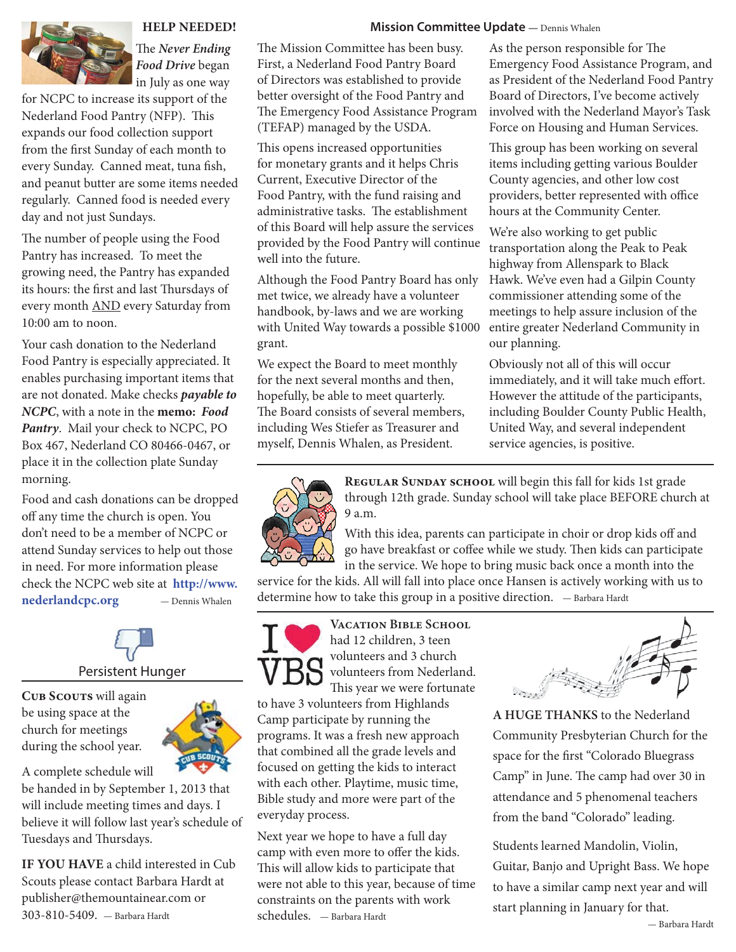

#### **HELP NEEDED!**

The *Never Ending Food Drive* began in July as one way

for NCPC to increase its support of the Nederland Food Pantry (NFP). This expands our food collection support from the first Sunday of each month to every Sunday. Canned meat, tuna fish, and peanut butter are some items needed regularly. Canned food is needed every day and not just Sundays.

The number of people using the Food Pantry has increased. To meet the growing need, the Pantry has expanded its hours: the first and last Thursdays of every month AND every Saturday from 10:00 am to noon.

Your cash donation to the Nederland Food Pantry is especially appreciated. It enables purchasing important items that are not donated. Make checks *payable to NCPC*, with a note in the **memo:** *Food Pantry*. Mail your check to NCPC, PO Box 467, Nederland CO 80466-0467, or place it in the collection plate Sunday morning.

Food and cash donations can be dropped off any time the church is open. You don't need to be a member of NCPC or attend Sunday services to help out those in need. For more information please check the NCPC web site at **http://www. nederlandcpc.org** — Dennis Whalen

# Persistent Hunger

**Cub Scouts** will again be using space at the church for meetings during the school year.

A complete schedule will be handed in by September 1, 2013 that will include meeting times and days. I believe it will follow last year's schedule of Tuesdays and Thursdays.

**IF YOU HAVE** a child interested in Cub Scouts please contact Barbara Hardt at publisher@themountainear.com or 303-810-5409. — Barbara Hardt

#### **Mission Committee Update** ― Dennis Whalen

The Mission Committee has been busy. First, a Nederland Food Pantry Board of Directors was established to provide better oversight of the Food Pantry and The Emergency Food Assistance Program (TEFAP) managed by the USDA.

This opens increased opportunities for monetary grants and it helps Chris Current, Executive Director of the Food Pantry, with the fund raising and administrative tasks. The establishment of this Board will help assure the services provided by the Food Pantry will continue well into the future.

Although the Food Pantry Board has only met twice, we already have a volunteer handbook, by-laws and we are working with United Way towards a possible \$1000 grant.

We expect the Board to meet monthly for the next several months and then, hopefully, be able to meet quarterly. The Board consists of several members, including Wes Stiefer as Treasurer and myself, Dennis Whalen, as President.

As the person responsible for The Emergency Food Assistance Program, and as President of the Nederland Food Pantry Board of Directors, I've become actively involved with the Nederland Mayor's Task Force on Housing and Human Services.

This group has been working on several items including getting various Boulder County agencies, and other low cost providers, better represented with office hours at the Community Center.

We're also working to get public transportation along the Peak to Peak highway from Allenspark to Black Hawk. We've even had a Gilpin County commissioner attending some of the meetings to help assure inclusion of the entire greater Nederland Community in our planning.

Obviously not all of this will occur immediately, and it will take much effort. However the attitude of the participants, including Boulder County Public Health, United Way, and several independent service agencies, is positive.



REGULAR SUNDAY SCHOOL will begin this fall for kids 1st grade through 12th grade. Sunday school will take place BEFORE church at 9 a.m.

With this idea, parents can participate in choir or drop kids off and go have breakfast or coffee while we study. Then kids can participate in the service. We hope to bring music back once a month into the

service for the kids. All will fall into place once Hansen is actively working with us to determine how to take this group in a positive direction. — Barbara Hardt



**Vacation Bible School**  had 12 children, 3 teen volunteers and 3 church volunteers from Nederland. This year we were fortunate

to have 3 volunteers from Highlands Camp participate by running the programs. It was a fresh new approach that combined all the grade levels and focused on getting the kids to interact with each other. Playtime, music time, Bible study and more were part of the everyday process.

Next year we hope to have a full day camp with even more to offer the kids. This will allow kids to participate that were not able to this year, because of time constraints on the parents with work schedules. — Barbara Hardt



**A HUGE THANKS** to the Nederland Community Presbyterian Church for the space for the first "Colorado Bluegrass Camp" in June. The camp had over 30 in attendance and 5 phenomenal teachers from the band "Colorado" leading.

Students learned Mandolin, Violin, Guitar, Banjo and Upright Bass. We hope to have a similar camp next year and will start planning in January for that.